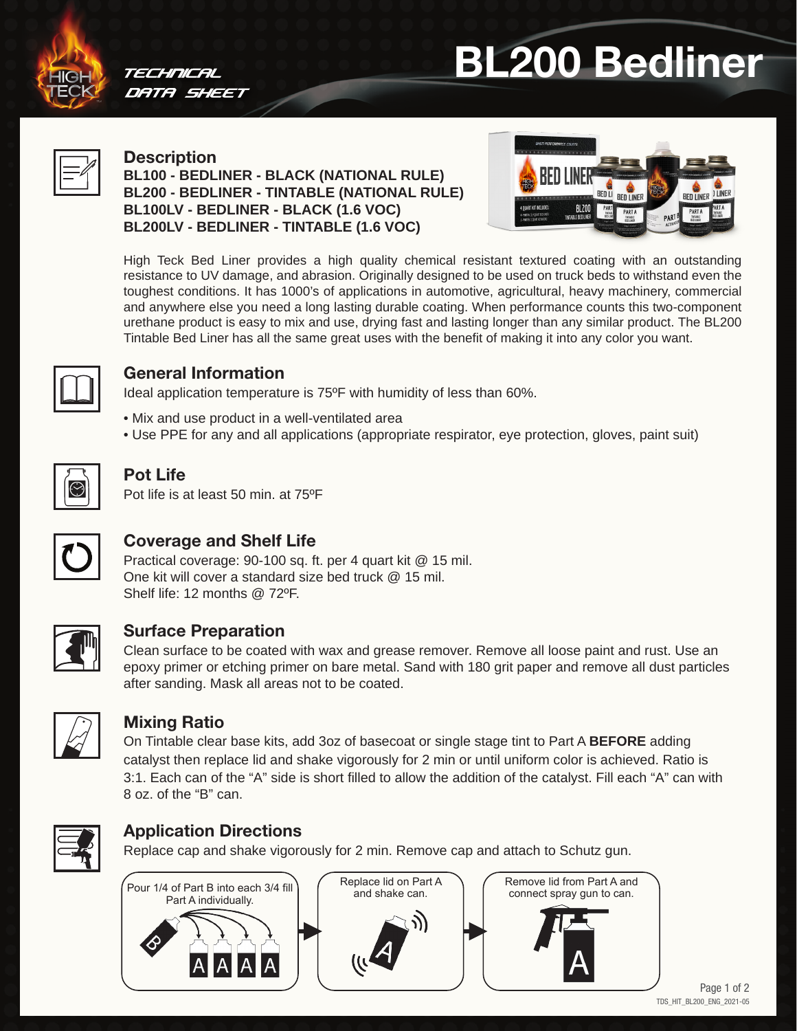



#### TECHNICAL DATA SHEET

#### **Description BL100 - BEDLINER - BLACK (NATIONAL RULE) BL200 - BEDLINER - TINTABLE (NATIONAL RULE) BL100LV - BEDLINER - BLACK (1.6 VOC) BL200LV - BEDLINER - TINTABLE (1.6 VOC)**



High Teck Bed Liner provides a high quality chemical resistant textured coating with an outstanding resistance to UV damage, and abrasion. Originally designed to be used on truck beds to withstand even the toughest conditions. It has 1000's of applications in automotive, agricultural, heavy machinery, commercial and anywhere else you need a long lasting durable coating. When performance counts this two-component urethane product is easy to mix and use, drying fast and lasting longer than any similar product. The BL200 Tintable Bed Liner has all the same great uses with the benefit of making it into any color you want.



## General Information

Ideal application temperature is 75ºF with humidity of less than 60%.

- Mix and use product in a well-ventilated area
- Use PPE for any and all applications (appropriate respirator, eye protection, gloves, paint suit)



# Pot Life

Pot life is at least 50 min. at 75ºF



# Coverage and Shelf Life

Practical coverage: 90-100 sq. ft. per 4 quart kit @ 15 mil. One kit will cover a standard size bed truck @ 15 mil. Shelf life: 12 months @ 72°F.



## Surface Preparation

Clean surface to be coated with wax and grease remover. Remove all loose paint and rust. Use an epoxy primer or etching primer on bare metal. Sand with 180 grit paper and remove all dust particles after sanding. Mask all areas not to be coated.



## Mixing Ratio

On Tintable clear base kits, add 3oz of basecoat or single stage tint to Part A **BEFORE** adding catalyst then replace lid and shake vigorously for 2 min or until uniform color is achieved. Ratio is 3:1. Each can of the "A" side is short filled to allow the addition of the catalyst. Fill each "A" can with 8 oz. of the "B" can.



# Application Directions

Replace cap and shake vigorously for 2 min. Remove cap and attach to Schutz gun.